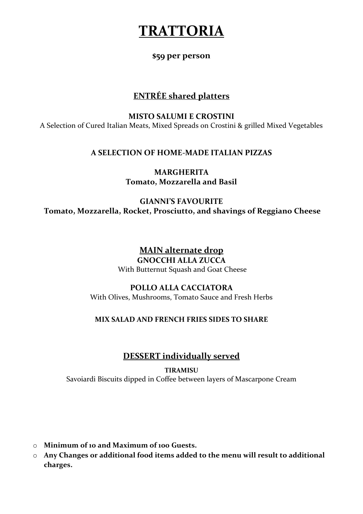# **TRATTORIA**

## **\$59 per person**

# **ENTRÉE shared platters**

## **MISTO SALUMI E CROSTINI**

A Selection of Cured Italian Meats, Mixed Spreads on Crostini & grilled Mixed Vegetables

# **A SELECTION OF HOME-MADE ITALIAN PIZZAS**

# **MARGHERITA Tomato, Mozzarella and Basil**

**GIANNI'S FAVOURITE Tomato, Mozzarella, Rocket, Prosciutto, and shavings of Reggiano Cheese**

## **MAIN alternate drop GNOCCHI ALLA ZUCCA** With Butternut Squash and Goat Cheese

# **POLLO ALLA CACCIATORA**

With Olives, Mushrooms, Tomato Sauce and Fresh Herbs

# **MIX SALAD AND FRENCH FRIES SIDES TO SHARE**

# **DESSERT individually served**

## **TIRAMISU**

Savoiardi Biscuits dipped in Coffee between layers of Mascarpone Cream

- o **Minimum of 10 and Maximum of 100 Guests.**
- o **Any Changes or additional food items added to the menu will result to additional charges.**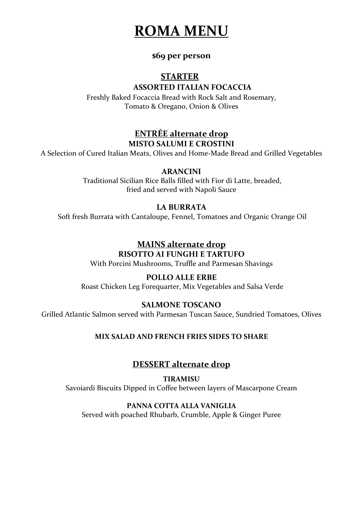

## **\$69 per person**

# **STARTER**

## **ASSORTED ITALIAN FOCACCIA**

Freshly Baked Focaccia Bread with Rock Salt and Rosemary, Tomato & Oregano, Onion & Olives

# **ENTRÉE alternate drop MISTO SALUMI E CROSTINI**

A Selection of Cured Italian Meats, Olives and Home-Made Bread and Grilled Vegetables

## **ARANCINI**

Traditional Sicilian Rice Balls filled with Fior di Latte, breaded, fried and served with Napoli Sauce

#### **LA BURRATA**

Soft fresh Burrata with Cantaloupe, Fennel, Tomatoes and Organic Orange Oil

#### **MAINS alternate drop RISOTTO AI FUNGHI E TARTUFO**

With Porcini Mushrooms, Truffle and Parmesan Shavings

## **POLLO ALLE ERBE**

Roast Chicken Leg Forequarter, Mix Vegetables and Salsa Verde

## **SALMONE TOSCANO**

Grilled Atlantic Salmon served with Parmesan Tuscan Sauce, Sundried Tomatoes, Olives

#### **MIX SALAD AND FRENCH FRIES SIDES TO SHARE**

## **DESSERT alternate drop**

**TIRAMISU** Savoiardi Biscuits Dipped in Coffee between layers of Mascarpone Cream

#### **PANNA COTTA ALLA VANIGLIA**

Served with poached Rhubarb, Crumble, Apple & Ginger Puree